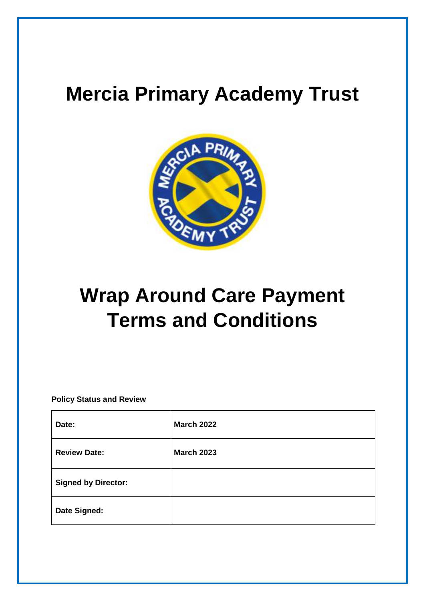## **Mercia Primary Academy Trust**



# **Wrap Around Care Payment Terms and Conditions**

**Policy Status and Review**

| Date:                      | <b>March 2022</b> |
|----------------------------|-------------------|
| <b>Review Date:</b>        | <b>March 2023</b> |
| <b>Signed by Director:</b> |                   |
| Date Signed:               |                   |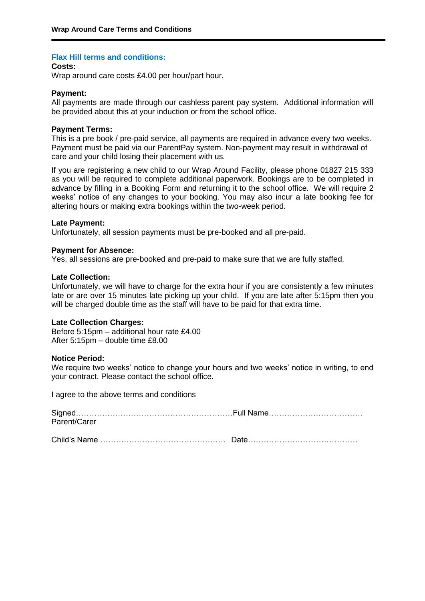## **Flax Hill terms and conditions:**

## **Costs:**

Wrap around care costs £4.00 per hour/part hour.

#### **Payment:**

All payments are made through our cashless parent pay system. Additional information will be provided about this at your induction or from the school office.

#### **Payment Terms:**

This is a pre book / pre-paid service, all payments are required in advance every two weeks. Payment must be paid via our ParentPay system. Non-payment may result in withdrawal of care and your child losing their placement with us.

If you are registering a new child to our Wrap Around Facility, please phone 01827 215 333 as you will be required to complete additional paperwork. Bookings are to be completed in advance by filling in a Booking Form and returning it to the school office. We will require 2 weeks' notice of any changes to your booking. You may also incur a late booking fee for altering hours or making extra bookings within the two-week period.

#### **Late Payment:**

Unfortunately, all session payments must be pre-booked and all pre-paid.

#### **Payment for Absence:**

Yes, all sessions are pre-booked and pre-paid to make sure that we are fully staffed.

#### **Late Collection:**

Unfortunately, we will have to charge for the extra hour if you are consistently a few minutes late or are over 15 minutes late picking up your child. If you are late after 5:15pm then you will be charged double time as the staff will have to be paid for that extra time.

## **Late Collection Charges:**

Before 5:15pm – additional hour rate £4.00 After  $5:15$ pm – double time £8.00

#### **Notice Period:**

We require two weeks' notice to change your hours and two weeks' notice in writing, to end your contract. Please contact the school office.

I agree to the above terms and conditions

| Parent/Carer |  |
|--------------|--|
|              |  |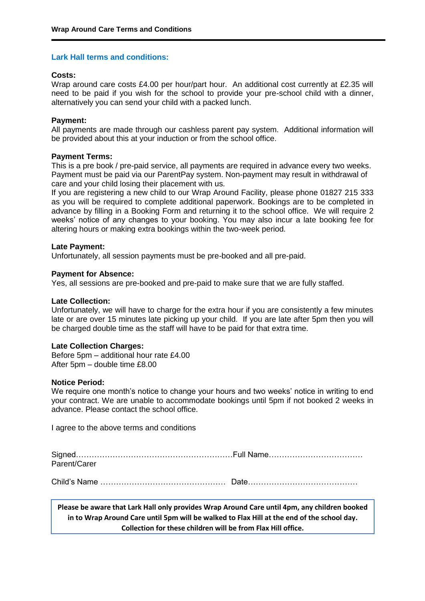## **Lark Hall terms and conditions:**

## **Costs:**

Wrap around care costs £4.00 per hour/part hour. An additional cost currently at £2.35 will need to be paid if you wish for the school to provide your pre-school child with a dinner, alternatively you can send your child with a packed lunch.

## **Payment:**

All payments are made through our cashless parent pay system. Additional information will be provided about this at your induction or from the school office.

## **Payment Terms:**

This is a pre book / pre-paid service, all payments are required in advance every two weeks. Payment must be paid via our ParentPay system. Non-payment may result in withdrawal of care and your child losing their placement with us.

If you are registering a new child to our Wrap Around Facility, please phone 01827 215 333 as you will be required to complete additional paperwork. Bookings are to be completed in advance by filling in a Booking Form and returning it to the school office. We will require 2 weeks' notice of any changes to your booking. You may also incur a late booking fee for altering hours or making extra bookings within the two-week period.

## **Late Payment:**

Unfortunately, all session payments must be pre-booked and all pre-paid.

## **Payment for Absence:**

Yes, all sessions are pre-booked and pre-paid to make sure that we are fully staffed.

## **Late Collection:**

Unfortunately, we will have to charge for the extra hour if you are consistently a few minutes late or are over 15 minutes late picking up your child. If you are late after 5pm then you will be charged double time as the staff will have to be paid for that extra time.

## **Late Collection Charges:**

Before 5pm – additional hour rate £4.00 After 5pm – double time £8.00

## **Notice Period:**

We require one month's notice to change your hours and two weeks' notice in writing to end your contract. We are unable to accommodate bookings until 5pm if not booked 2 weeks in advance. Please contact the school office.

I agree to the above terms and conditions

| Parent/Carer |  |
|--------------|--|
|              |  |

Child's Name ………………………………………… Date……………………………………

**Please be aware that Lark Hall only provides Wrap Around Care until 4pm, any children booked in to Wrap Around Care until 5pm will be walked to Flax Hill at the end of the school day. Collection for these children will be from Flax Hill office.**